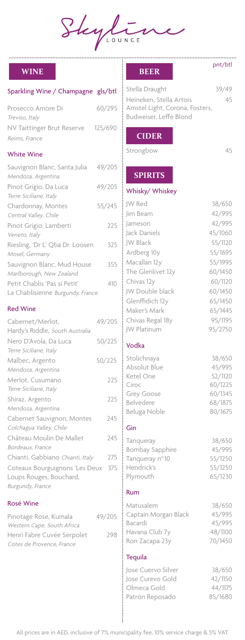Skylin

# **WINE**

### Sparkling Wine / Champagne gls/btl

| Prosecco Amore Di          | 60/295  |
|----------------------------|---------|
| Treviso, Italy             |         |
| NV Taittinger Brut Reserve | 125/690 |
| Reims, France              |         |

#### White Wine

| Sauvignon Blanc, Santa Julia     | 49/205 |
|----------------------------------|--------|
| Mendoza, Argentina               |        |
| Pinot Grigio, Da Luca            | 49/205 |
| Terre Siciliane, Italy           |        |
| Chardonnay, Montes               | 55/245 |
| Central Valley, Chile            |        |
| Pinot Grigio, Lamberti           | 225    |
| Veneto, Italy                    |        |
| Riesling, 'Dr L' Qba Dr. Loosen  | 325    |
| Mosel, Germany                   |        |
| Sauvignon Blanc, Mud House       | 355    |
| Marlborough, New Zealand         |        |
| Petit Chablis 'Pas si Petit'     | 410    |
| La Chablisienne Burgundy, France |        |

### Red Wine

| Cabernet/Merlot,                 | 49/205 |
|----------------------------------|--------|
| Hardy's Riddle, South Australia  |        |
| Nero D'Avola, Da Luca            | 50/225 |
| Terre Siciliane, Italy           |        |
| Malbec, Argento                  | 50/225 |
| Mendoza, Argentina               |        |
| Merlot, Cusumano                 | 225    |
| Terre Siciliane, Italy           |        |
| Shiraz, Argento                  | 225    |
| Mendoza, Argentina               |        |
| Cabernet Sauvignon, Montes       | 245    |
| Colchagua Valley, Chile          |        |
| Château Moulin De Mallet         | 245    |
| Bordeaux, France                 |        |
| Chianti, Gabbiano Chianti, Italy | 275    |
| Coteaux Bourguignons 'Les Deux   | 375    |
| Loups Rouges, Bouchard,          |        |
| Burgundy, France                 |        |

#### Rosé Wine

| Pinotage Rose, Kumala      | 49/205 |
|----------------------------|--------|
| Western Cape, South Africa |        |
| Henri Fabre Cuvée Serpolet | 298    |
| Cotes de Provence, France  |        |

#### **BEER**

| Stella Draught                 | 39/49 |
|--------------------------------|-------|
| Heineken. Stella Artois        | 45    |
| Amstel Light, Corona, Fosters, |       |
| Budweiser. Leffe Blond         |       |

## **CIDER**

Strongbow 45

 $\overline{a}$ 

- 1990年には、1990年には、1990年には、1990年には、1990年には、1990年には、1990年には、1990年には、1990年には、1990年には、1990年には、1990年には、1990年には、1990年には、1990年には、1990年には、1990年には、1990年には、1990年には、1990年には、1990年には、1990年には、1990年には<br>1990年には、1990年には、1990年には、1990年には、19

pnt/btl

# **SPIRITS**

### Whisky/ Whiskey

| JW Red                 | 38/650  |
|------------------------|---------|
| Jim Beam               | 42/995  |
| Jameson                | 42/995  |
| Jack Daniels           | 45/1060 |
| JW Black               | 55/1120 |
| Ardberg 10y            | 55/1695 |
| Macallan 12y           | 55/1995 |
| The Glenlivet 12y      | 60/1450 |
| Chivas 12y             | 60/1120 |
| JW Double black        | 60/1450 |
| Glenffidich 12y        | 65/1450 |
| Maker's Mark           | 65/1445 |
| Chivas Regal 18y       | 95/1195 |
| JW Platinum            | 95/2750 |
| Vodka                  |         |
| Stolichnaya            | 38/650  |
| Absolut Blue           | 45/995  |
| Ketel One              | 52/1120 |
| Ciroc                  | 60/1225 |
| Grey Goose             | 60/1345 |
| Belvedere              | 68/1875 |
| Beluga Noble           | 80/1675 |
| Gin                    |         |
| Tanqueray              | 38/650  |
| <b>Bombay Sapphire</b> | 45/995  |
| Tanqueray nº 10        | 55/1250 |
| Hendrick's             | 55/1250 |
| Plymouth               | 65/1230 |
| Rum                    |         |
| Matusalem              | 38/650  |
| Captain Morgan Black   | 45/995  |
| Bacardi                | 45/995  |
| Havana Club 7y         | 48/1100 |
| Ron Zacapa 23y         | 70/1450 |
| <b>Tequila</b>         |         |

Jose Cuervo Silver 38/650 Jose Curevo Gold 42/1150 Olmeca Gold 44/1175 Patrón Reposado 65/1680

All prices are in AED, inclusive of 7% municipality fee, 10% service charge & 5% VAT.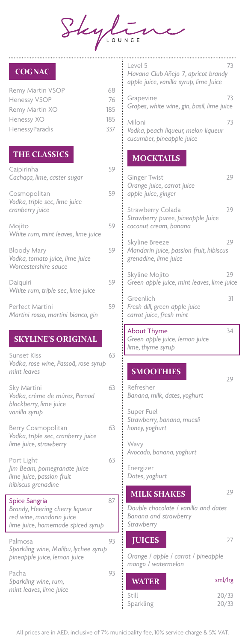Skyline

# **COGNAC**

.............................

| Remy Martin VSOP      | 68  |
|-----------------------|-----|
| <b>Henessy VSOP</b>   | 76  |
| Remy Martin XO        | 185 |
| Henessy XO            | 185 |
| <b>HenessyParadis</b> | 337 |
|                       |     |

# **THE CLASSICS**

| Caipirinha<br>Cachaça, lime, caster sugar                                     | 59 |
|-------------------------------------------------------------------------------|----|
| Cosmopolitan<br>Vodka, triple sec, lime juice<br>cranberry juice              | 59 |
| Mojito<br>White rum, mint leaves, lime juice                                  | 59 |
| <b>Bloody Mary</b><br>Vodka, tomato juice, lime juice<br>Worcestershire sauce | 59 |
| Daiquiri<br>White rum, triple sec, lime juice                                 | 59 |
| Perfect Martini<br>Martini rosso, martini bianco, gin                         | 59 |

# **SKYLINE'S ORIGINAL**

| Sunset Kiss<br>Vodka, rose wine, Passoã, rose syrup<br>mint leaves                                                      | 63 |
|-------------------------------------------------------------------------------------------------------------------------|----|
| Sky Martini<br>Vodka, crème de mûres, Pernod<br>blackberry, lime juice<br>vanilla syrup                                 | 63 |
| Berry Cosmopolitan<br>Vodka, triple sec, cranberry juice<br>lime juice, strawberry                                      | 63 |
| Port Light<br>Jim Beam, pomegranate juice<br>lime juice, passion fruit<br>hibiscus grenadine                            | 63 |
| <b>Spice Sangria</b><br>Brandy, Heering cherry liqueur<br>red wine, mandarin juice<br>lime juice, homemade spiced syrup | 87 |
| Palmosa<br>Sparkling wine, Malibu, lychee syrup<br>pineapple juice, lemon juice                                         | 93 |
| Pacha<br>Sparkling wine, rum,<br>mint leaves, lime juice                                                                | 93 |

| Level 5<br>Havana Club Añejo 7, apricot brandy<br>apple juice, vanilla syrup, lime Juice | 73 |
|------------------------------------------------------------------------------------------|----|
|                                                                                          |    |
| Grapevine<br>Grapes, white wine, gin, basil, lime juice                                  | 73 |
| Miloni<br>Vodka, peach liqueur, melon liqueur<br>cucumber, pineapple juice               | 73 |
|                                                                                          |    |
| <b>MOCKTAILS</b>                                                                         |    |
| <b>Ginger Twist</b><br>Orange juice, carrot juice<br>apple juice, ginger                 | 29 |
|                                                                                          |    |
| Strawberry Colada<br>Strawberry puree, pineapple Juice<br>coconut cream, banana          | 29 |
|                                                                                          |    |
| Skyline Breeze<br>Mandarin juice, passion fruit, hibiscus<br>grenadine, lime juice       | 29 |
| Skyline Mojito<br>Green apple juice, mint leaves, lime juice                             | 29 |
|                                                                                          |    |
| Greenlich                                                                                | 31 |
| Fresh dill, green apple juice<br>carrot juice, fresh mint                                |    |
|                                                                                          |    |
|                                                                                          |    |
| About Thyme<br>Green apple juice, lemon juice<br>lime, thyme syrup                       | 34 |
|                                                                                          |    |
|                                                                                          |    |
| <b>SMOOTHIES</b>                                                                         | 29 |
| Refresher<br>Banana, milk, dates, yoghurt                                                |    |
|                                                                                          |    |
| Super Fuel                                                                               |    |
| Strawberry, banana, muesli<br>honey, yoghurt                                             |    |
|                                                                                          |    |
| Wavy<br>Avocado, banana, yoghurt                                                         |    |
| Energizer<br>Dates, yoghurt                                                              |    |
| <b>MILK SHAKES</b>                                                                       | 29 |
| Double chocolate / vanilla and dates<br>Banana and strawberry<br>Strawberry              |    |
| <b>JUICES</b>                                                                            | 27 |
| Orange / apple / carrot / pineapple<br>mango / watermelon                                |    |

Still 20/33 Sparkling 20/33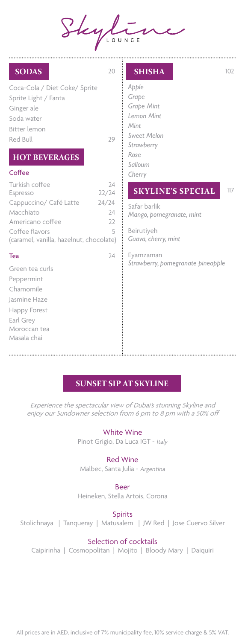

. . . . . . . . . . . . . . . . . .

. . . . . . . . . . . . . . . .

| <b>SODAS</b>                                                                                                                                       | 20                                    | <b>SHISHA</b>                                                                                                | 102 |
|----------------------------------------------------------------------------------------------------------------------------------------------------|---------------------------------------|--------------------------------------------------------------------------------------------------------------|-----|
| Coca-Cola / Diet Coke/ Sprite<br>Sprite Light / Fanta<br>Ginger ale<br>Soda water<br>Bitter lemon<br>Red Bull<br><b>HOT BEVERAGES</b><br>Coffee    | 29                                    | Apple<br>Grape<br>Grape Mint<br>Lemon Mint<br>Mint<br>Sweet Melon<br>Strawberry<br>Rose<br>Salloum<br>Cherry |     |
| Turkish coffee<br>Espresso<br>Cappuccino/ Café Latte<br>Macchiato<br>Americano coffee<br>Coffee flavors<br>(caramel, vanilla, hazelnut, chocolate) | 24<br>22/24<br>24/24<br>24<br>22<br>5 | <b>SKYLINE'S SPECIAL</b><br>Safar barlik<br>Mango, pomegranate, mint<br>Beirutiyeh<br>Guava, cherry, mint    | 117 |
| Tea<br>Green tea curls<br>Peppermint<br>Chamomile<br>Jasmine Haze<br>Happy Forest<br>Earl Grey<br>Moroccan tea<br>Masala chai                      | 24                                    | Eyamzaman<br>Strawberry, pomegranate pineapple                                                               |     |

# **SUNSET SIP AT SKYLINE**

Experience the spectacular view of Dubai's stunning Skyline and enjoy our Sundowner selection from 6 pm to 8 pm with a 50% off

# White Wine

Pinot Grigio, Da Luca IGT - Italy

# Red Wine

Malbec, Santa Julia - Argentina

Beer

Heineken, Stella Artois, Corona

### Spirits

Stolichnaya | Tanqueray | Matusalem | JW Red | Jose Cuervo Silver

#### Selection of cocktails

Caipirinha | Cosmopolitan | Mojito | Bloody Mary | Daiquiri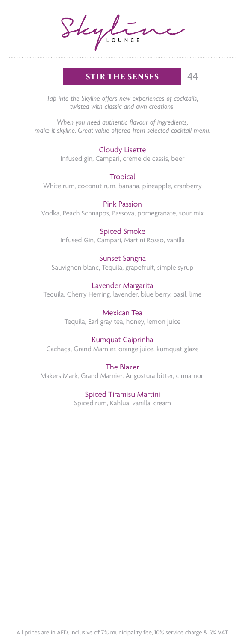Skylin

# **STIR THE SENSES** 44

*Tap into the Skyline offers new experiences of cocktails, twisted with classic and own creations.*

*When you need authentic flavour of ingredients, make it skyline. Great value offered from selected cocktail menu.*

### Cloudy Lisette

Infused gin, Campari, crème de cassis, beer

**Tropical** White rum, coconut rum, banana, pineapple, cranberry

Pink Passion Vodka, Peach Schnapps, Passova, pomegranate, sour mix

> Spiced Smoke Infused Gin, Campari, Martini Rosso, vanilla

#### Sunset Sangria

Sauvignon blanc, Tequila, grapefruit, simple syrup

#### Lavender Margarita

Tequila, Cherry Herring, lavender, blue berry, basil, lime

Mexican Tea Tequila, Earl gray tea, honey, lemon juice

### Kumquat Caiprinha

Cachaça, Grand Marnier, orange juice, kumquat glaze

#### The Blazer

Makers Mark, Grand Marnier, Angostura bitter, cinnamon

#### Spiced Tiramisu Martini

Spiced rum, Kahlua, vanilla, cream